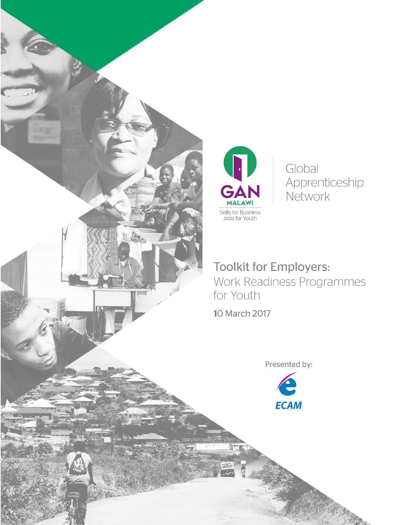

Global Apprenticeship Network

**Toolkit for Employers:** Work Readiness Programmes

10 March 2017

Presented by:

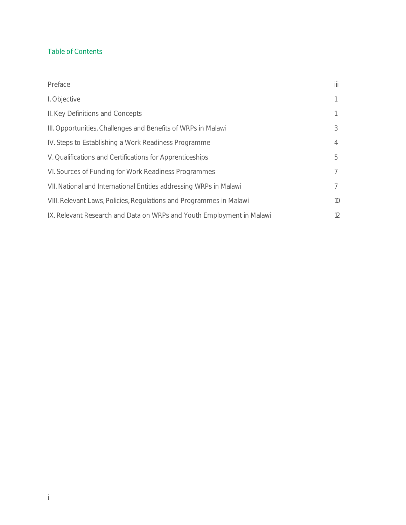#### Table of Contents

| Preface                                                               | Ш              |
|-----------------------------------------------------------------------|----------------|
| I. Objective                                                          |                |
| II. Key Definitions and Concepts                                      |                |
| III. Opportunities, Challenges and Benefits of WRPs in Malawi         | 3              |
| IV. Steps to Establishing a Work Readiness Programme                  | $\overline{4}$ |
| V. Qualifications and Certifications for Apprenticeships              | 5              |
| VI. Sources of Funding for Work Readiness Programmes                  | $7^{\circ}$    |
| VII. National and International Entities addressing WRPs in Malawi    | $7^{\circ}$    |
| VIII. Relevant Laws, Policies, Regulations and Programmes in Malawi   | 10             |
| IX. Relevant Research and Data on WRPs and Youth Employment in Malawi | 12             |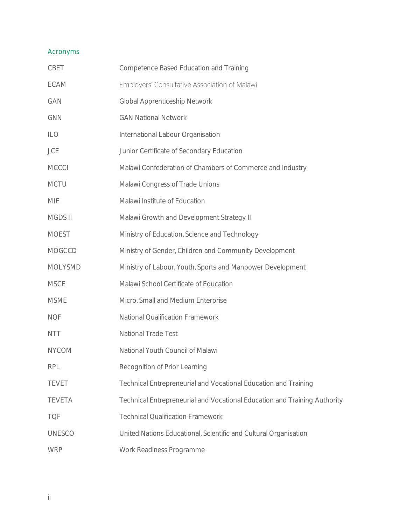# Acronyms

| CBET          | Competence Based Education and Training                                   |
|---------------|---------------------------------------------------------------------------|
| ECAM          | Employers' Consultative Association of Malawi                             |
| GAN           | Global Apprenticeship Network                                             |
| GNN           | <b>GAN National Network</b>                                               |
| ILO           | International Labour Organisation                                         |
| JCE           | Junior Certificate of Secondary Education                                 |
| <b>MCCCI</b>  | Malawi Confederation of Chambers of Commerce and Industry                 |
| <b>MCTU</b>   | Malawi Congress of Trade Unions                                           |
| MIE           | Malawi Institute of Education                                             |
| MGDS II       | Malawi Growth and Development Strategy II                                 |
| <b>MOEST</b>  | Ministry of Education, Science and Technology                             |
| MOGCCD        | Ministry of Gender, Children and Community Development                    |
| MOLYSMD       | Ministry of Labour, Youth, Sports and Manpower Development                |
| <b>MSCE</b>   | Malawi School Certificate of Education                                    |
| <b>MSME</b>   | Micro, Small and Medium Enterprise                                        |
| <b>NQF</b>    | National Qualification Framework                                          |
| <b>NTT</b>    | National Trade Test                                                       |
| <b>NYCOM</b>  | National Youth Council of Malawi                                          |
| <b>RPL</b>    | Recognition of Prior Learning                                             |
| <b>TEVET</b>  | Technical Entrepreneurial and Vocational Education and Training           |
| <b>TEVETA</b> | Technical Entrepreneurial and Vocational Education and Training Authority |
| <b>TQF</b>    | <b>Technical Qualification Framework</b>                                  |
| <b>UNESCO</b> | United Nations Educational, Scientific and Cultural Organisation          |
| WRP           | Work Readiness Programme                                                  |
|               |                                                                           |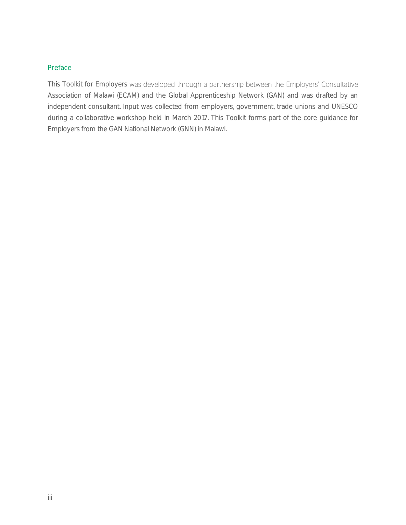#### <span id="page-3-0"></span>Preface

This Toolkit for Employers was developed through a partnership between the Employers' Consultative Association of Malawi (ECAM) and the Global Apprenticeship Network (GAN) and was drafted by an independent consultant. Input was collected from employers, government, trade unions and UNESCO during a collaborative workshop held in March 2017. This Toolkit forms part of the core guidance for Employers from the GAN National Network (GNN) in Malawi.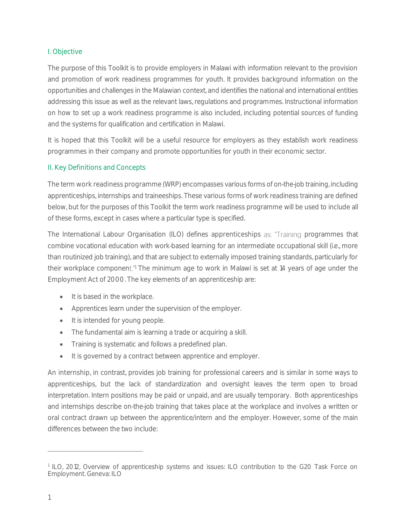#### <span id="page-4-0"></span>I. Objective

The purpose of this Toolkit is to provide employers in Malawi with information relevant to the provision and promotion of work readiness programmes for youth. It provides background information on the opportunities and challenges in the Malawian context, and identifies the national and international entities addressing this issue as well as the relevant laws, regulations and programmes. Instructional information on how to set up a work readiness programme is also included, including potential sources of funding and the systems for qualification and certification in Malawi.

It is hoped that this Toolkit will be a useful resource for employers as they establish work readiness programmes in their company and promote opportunities for youth in their economic sector.

#### <span id="page-4-1"></span>II. Key Definitions and Concepts

The term work readiness programme (WRP) encompasses various forms of on-the-job training, including apprenticeships, internships and traineeships. These various forms of work readiness training are defined below, but for the purposes of this Toolkit the term work readiness programme will be used to include all of these forms, except in cases where a particular type is specified.

The International Labour Organisation (ILO) defines apprenticeships as: "Training programmes that combine vocational education with work-based learning for an intermediate occupational skill (i.e., more than routinized job training), and that are subject to externally imposed training standards, particularly for their workplace component." The minimum age to work in Malawi is set at 14 years of age under the Employment Act of 2000. The key elements of an apprenticeship are:

- It is based in the workplace.
- Apprentices learn under the supervision of the employer.
- It is intended for young people.
- The fundamental aim is learning a trade or acquiring a skill.
- Training is systematic and follows a predefined plan.
- It is governed by a contract between apprentice and employer.

An internship, in contrast, provides job training for professional careers and is similar in some ways to apprenticeships, but the lack of standardization and oversight leaves the term open to broad interpretation. Intern positions may be paid or unpaid, and are usually temporary. Both apprenticeships and internships describe on-the-job training that takes place at the workplace and involves a written or oral contract drawn up between the apprentice/intern and the employer. However, some of the main differences between the two include:

<sup>1</sup> ILO, 2012, Overview of apprenticeship systems and issues: ILO contribution to the G20 Task Force on Employment. Geneva: ILO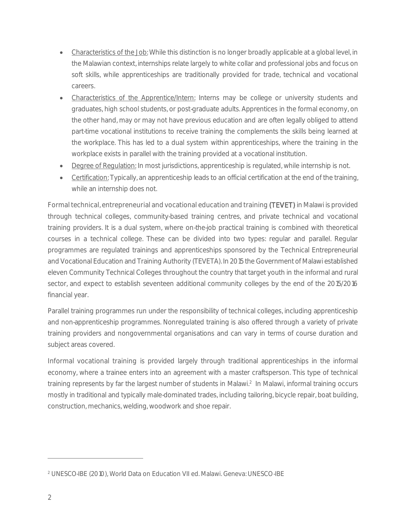- Characteristics of the Job: While this distinction is no longer broadly applicable at a global level, in the Malawian context, internships relate largely to white collar and professional jobs and focus on soft skills, while apprenticeships are traditionally provided for trade, technical and vocational careers.
- Characteristics of the Apprentice/Intern: Interns may be college or university students and graduates, high school students, or post-graduate adults. Apprentices in the formal economy, on the other hand, may or may not have previous education and are often legally obliged to attend part-time vocational institutions to receive training the complements the skills being learned at the workplace. This has led to a dual system within apprenticeships, where the training in the workplace exists in parallel with the training provided at a vocational institution.
- Degree of Regulation: In most jurisdictions, apprenticeship is regulated, while internship is not.
- Certification: Typically, an apprenticeship leads to an official certification at the end of the training, while an internship does not.

Formal technical, entrepreneurial and vocational education and training (TEVET) in Malawi is provided through technical colleges, community-based training centres, and private technical and vocational training providers. It is a dual system, where on-the-job practical training is combined with theoretical courses in a technical college. These can be divided into two types: regular and parallel. Regular programmes are regulated trainings and apprenticeships sponsored by the Technical Entrepreneurial and Vocational Education and Training Authority (TEVETA). In 2015 the Government of Malawi established eleven Community Technical Colleges throughout the country that target youth in the informal and rural sector, and expect to establish seventeen additional community colleges by the end of the 2015/2016 financial year.

Parallel training programmes run under the responsibility of technical colleges, including apprenticeship and non-apprenticeship programmes. Nonregulated training is also offered through a variety of private training providers and nongovernmental organisations and can vary in terms of course duration and subject areas covered.

Informal vocational training is provided largely through traditional apprenticeships in the informal economy, where a trainee enters into an agreement with a master craftsperson. This type of technical training represents by far the largest number of students in Malawi.<sup>2</sup> In Malawi, informal training occurs mostly in traditional and typically male-dominated trades, including tailoring, bicycle repair, boat building, construction, mechanics, welding, woodwork and shoe repair.

<sup>2</sup> UNESCO-IBE (2010), World Data on Education VII ed. Malawi. Geneva: UNESCO-IBE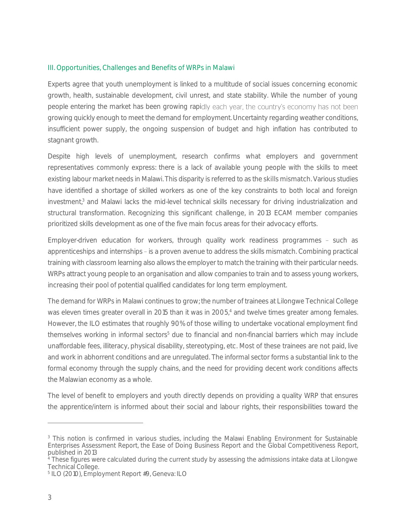#### <span id="page-6-0"></span>III. Opportunities, Challenges and Benefits of WRPs in Malawi

Experts agree that youth unemployment is linked to a multitude of social issues concerning economic growth, health, sustainable development, civil unrest, and state stability. While the number of young people entering the market has been growing rapidly each year, the country's economy has not been growing quickly enough to meet the demand for employment. Uncertainty regarding weather conditions, insufficient power supply, the ongoing suspension of budget and high inflation has contributed to stagnant growth.

Despite high levels of unemployment, research confirms what employers and government representatives commonly express: there is a lack of available young people with the skills to meet existing labour market needs in Malawi. This disparity is referred to as the skills mismatch. Various studies have identified a shortage of skilled workers as one of the key constraints to both local and foreign investment,<sup>3</sup> and Malawi lacks the mid-level technical skills necessary for driving industrialization and structural transformation. Recognizing this significant challenge, in 2013 ECAM member companies prioritized skills development as one of the five main focus areas for their advocacy efforts.

Employer-driven education for workers, through quality work readiness programmes - such as apprenticeships and internships - is a proven avenue to address the skills mismatch. Combining practical training with classroom learning also allows the employer to match the training with their particular needs. WRPs attract young people to an organisation and allow companies to train and to assess young workers, increasing their pool of potential qualified candidates for long term employment.

The demand for WRPs in Malawi continues to grow; the number of trainees at Lilongwe Technical College was eleven times greater overall in 2015 than it was in 2005,<sup>4</sup> and twelve times greater among females. However, the ILO estimates that roughly 90% of those willing to undertake vocational employment find themselves working in informal sectors<sup>5</sup> due to financial and non-financial barriers which may include unaffordable fees, illiteracy, physical disability, stereotyping, etc. Most of these trainees are not paid, live and work in abhorrent conditions and are unregulated. The informal sector forms a substantial link to the formal economy through the supply chains, and the need for providing decent work conditions affects the Malawian economy as a whole.

The level of benefit to employers and youth directly depends on providing a quality WRP that ensures the apprentice/intern is informed about their social and labour rights, their responsibilities toward the

<sup>&</sup>lt;sup>3</sup> This notion is confirmed in various studies, including the Malawi Enabling Environment for Sustainable Enterprises Assessment Report, the Ease of Doing Business Report and the Global Competitiveness Report, published in 2013

<sup>&</sup>lt;sup>4</sup> These figures were calculated during the current study by assessing the admissions intake data at Lilongwe Technical College.

<sup>5</sup> ILO (2010), Employment Report #9, Geneva: ILO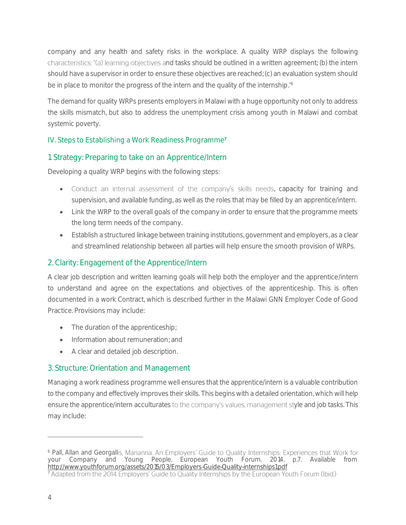company and any health and safety risks in the workplace. A quality WRP displays the following characteristics: "(a) learning objectives and tasks should be outlined in a written agreement; (b) the intern should have a supervisor in order to ensure these objectives are reached; (c) an evaluation system should be in place to monitor the progress of the intern and the quality of the internship."<sup>6</sup>

The demand for quality WRPs presents employers in Malawi with a huge opportunity not only to address the skills mismatch, but also to address the unemployment crisis among youth in Malawi and combat systemic poverty.

# <span id="page-7-0"></span>IV. Steps to Establishing a Work Readiness Programme<sup>7</sup>

# 1. Strategy: Preparing to take on an Apprentice/Intern

Developing a quality WRP begins with the following steps:

- Conduct an internal assessment of the company's skills needs, capacity for training and supervision, and available funding, as well as the roles that may be filled by an apprentice/intern.
- Link the WRP to the overall goals of the company in order to ensure that the programme meets the long term needs of the company.
- Establish a structured linkage between training institutions, government and employers, as a clear and streamlined relationship between all parties will help ensure the smooth provision of WRPs.

### 2. Clarity: Engagement of the Apprentice/Intern

A clear job description and written learning goals will help both the employer and the apprentice/intern to understand and agree on the expectations and objectives of the apprenticeship. This is often documented in a work Contract, which is described further in the Malawi GNN Employer Code of Good Practice. Provisions may include:

- The duration of the apprenticeship;
- Information about remuneration: and
- A clear and detailed job description.

### 3. Structure: Orientation and Management

Managing a work readiness programme well ensures that the apprentice/intern is a valuable contribution to the company and effectively improves their skills. This begins with a detailed orientation, which will help ensure the apprentice/intern acculturates to the company's values, management style and job tasks. This may include:

<sup>&</sup>lt;sup>6</sup> Pall, Allan and Georgallis, Marianna. An Employers' Guide to Quality Internships: Experiences that Work for your Company and Young People. European Youth Forum. 2014. p.7. Available from <http://www.youthforum.org/assets/2015/03/Employers-Guide-Quality-internships1.pdf>

 $\frac{1}{7}$  Adapted from the 2014 Employers' Guide to Quality Internships by the European Youth Forum (Ibid.)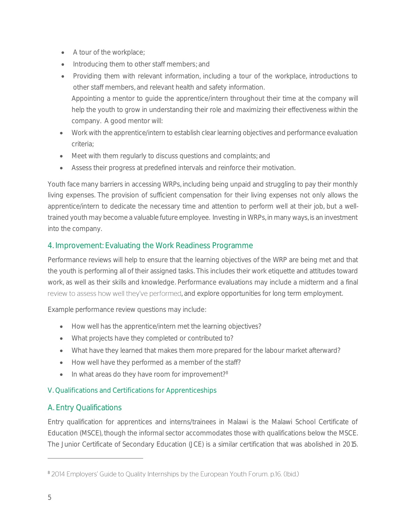- A tour of the workplace;
- Introducing them to other staff members; and
- Providing them with relevant information, including a tour of the workplace, introductions to other staff members, and relevant health and safety information. Appointing a mentor to guide the apprentice/intern throughout their time at the company will help the youth to grow in understanding their role and maximizing their effectiveness within the company. A good mentor will:
- Work with the apprentice/intern to establish clear learning objectives and performance evaluation criteria;
- Meet with them regularly to discuss questions and complaints; and
- Assess their progress at predefined intervals and reinforce their motivation.

Youth face many barriers in accessing WRPs, including being unpaid and struggling to pay their monthly living expenses. The provision of sufficient compensation for their living expenses not only allows the apprentice/intern to dedicate the necessary time and attention to perform well at their job, but a welltrained youth may become a valuable future employee. Investing in WRPs, in many ways, is an investment into the company.

# 4. Improvement: Evaluating the Work Readiness Programme

Performance reviews will help to ensure that the learning objectives of the WRP are being met and that the youth is performing all of their assigned tasks. This includes their work etiquette and attitudes toward work, as well as their skills and knowledge. Performance evaluations may include a midterm and a final review to assess how well they've performed, and explore opportunities for long term employment.

Example performance review questions may include:

- How well has the apprentice/intern met the learning objectives?
- What projects have they completed or contributed to?
- What have they learned that makes them more prepared for the labour market afterward?
- How well have they performed as a member of the staff?
- In what areas do they have room for improvement?<sup>8</sup>

### <span id="page-8-0"></span>V. Qualifications and Certifications for Apprenticeships

# A. Entry Qualifications

Entry qualification for apprentices and interns/trainees in Malawi is the Malawi School Certificate of Education (MSCE), though the informal sector accommodates those with qualifications below the MSCE. The Junior Certificate of Secondary Education (JCE) is a similar certification that was abolished in 2015.

<sup>&</sup>lt;sup>8</sup> 2014 Employers' Guide to Quality Internships by the European Youth Forum. p.16. (Ibid.)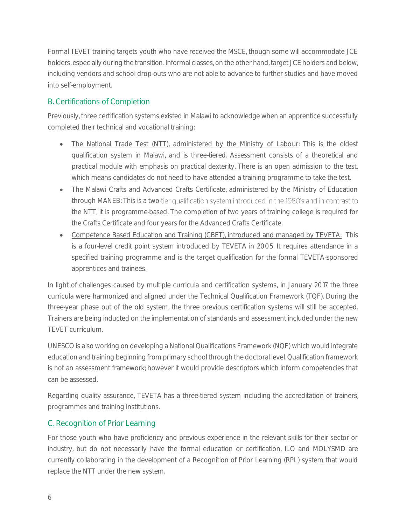Formal TEVET training targets youth who have received the MSCE, though some will accommodate JCE holders, especially during the transition. Informal classes, on the other hand, target JCE holders and below, including vendors and school drop-outs who are not able to advance to further studies and have moved into self-employment.

# B. Certifications of Completion

Previously, three certification systems existed in Malawi to acknowledge when an apprentice successfully completed their technical and vocational training:

- The National Trade Test (NTT), administered by the Ministry of Labour: This is the oldest qualification system in Malawi, and is three-tiered. Assessment consists of a theoretical and practical module with emphasis on practical dexterity. There is an open admission to the test, which means candidates do not need to have attended a training programme to take the test.
- The Malawi Crafts and Advanced Crafts Certificate, administered by the Ministry of Education through MANEB: This is a two-tier qualification system introduced in the 1980's and in contrast to the NTT, it is programme-based. The completion of two years of training college is required for the Crafts Certificate and four years for the Advanced Crafts Certificate.
- Competence Based Education and Training (CBET), introduced and managed by TEVETA: This is a four-level credit point system introduced by TEVETA in 2005. It requires attendance in a specified training programme and is the target qualification for the formal TEVETA-sponsored apprentices and trainees.

In light of challenges caused by multiple curricula and certification systems, in January 2017 the three curricula were harmonized and aligned under the Technical Qualification Framework (TQF). During the three-year phase out of the old system, the three previous certification systems will still be accepted. Trainers are being inducted on the implementation of standards and assessment included under the new TEVET curriculum.

UNESCO is also working on developing a National Qualifications Framework (NQF) which would integrate education and training beginning from primary school through the doctoral level. Qualification framework is not an assessment framework; however it would provide descriptors which inform competencies that can be assessed.

Regarding quality assurance, TEVETA has a three-tiered system including the accreditation of trainers, programmes and training institutions.

### C. Recognition of Prior Learning

For those youth who have proficiency and previous experience in the relevant skills for their sector or industry, but do not necessarily have the formal education or certification, ILO and MOLYSMD are currently collaborating in the development of a Recognition of Prior Learning (RPL) system that would replace the NTT under the new system.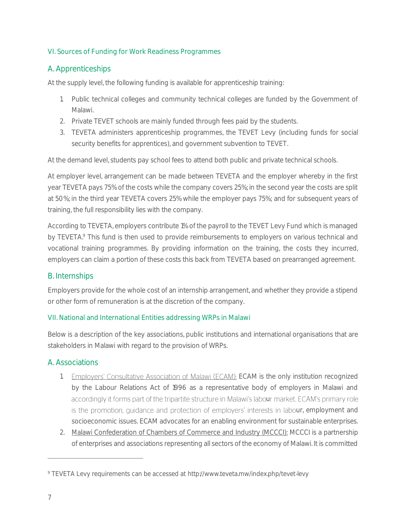### <span id="page-10-0"></span>VI. Sources of Funding for Work Readiness Programmes

# A. Apprenticeships

At the supply level, the following funding is available for apprenticeship training:

- 1. Public technical colleges and community technical colleges are funded by the Government of Malawi.
- 2. Private TEVET schools are mainly funded through fees paid by the students.
- 3. TEVETA administers apprenticeship programmes, the TEVET Levy (including funds for social security benefits for apprentices), and government subvention to TEVET.

At the demand level, students pay school fees to attend both public and private technical schools.

At employer level, arrangement can be made between TEVETA and the employer whereby in the first year TEVETA pays 75% of the costs while the company covers 25%; in the second year the costs are split at 50%; in the third year TEVETA covers 25% while the employer pays 75%; and for subsequent years of training, the full responsibility lies with the company.

According to TEVETA, employers contribute 1% of the payroll to the TEVET Levy Fund which is managed by TEVETA.<sup>9</sup> This fund is then used to provide reimbursements to employers on various technical and vocational training programmes. By providing information on the training, the costs they incurred, employers can claim a portion of these costs this back from TEVETA based on prearranged agreement.

# B. Internships

Employers provide for the whole cost of an internship arrangement, and whether they provide a stipend or other form of remuneration is at the discretion of the company.

### <span id="page-10-1"></span>VII. National and International Entities addressing WRPs in Malawi

Below is a description of the key associations, public institutions and international organisations that are stakeholders in Malawi with regard to the provision of WRPs.

# A. Associations

- 1. Employers' Consultative Association of Malawi (ECAM): ECAM is the only institution recognized by the Labour Relations Act of 1996 as a representative body of employers in Malawi and accordingly it forms part of the tripartite structure in Malawi's labour market. ECAM's primary role is the promotion, guidance and protection of employers' interests in labour, employment and socioeconomic issues. ECAM advocates for an enabling environment for sustainable enterprises.
- 2. Malawi Confederation of Chambers of Commerce and Industry (MCCCI): MCCCI is a partnership of enterprises and associations representing all sectors of the economy of Malawi. It is committed

<sup>9</sup> TEVETA Levy requirements can be accessed at http://www.teveta.mw/index.php/tevet-levy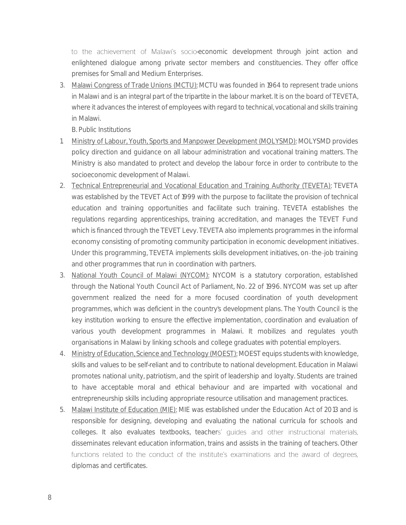to the achievement of Malawi's socio-economic development through joint action and enlightened dialogue among private sector members and constituencies. They offer office premises for Small and Medium Enterprises.

3. Malawi Congress of Trade Unions (MCTU): MCTU was founded in 1964 to represent trade unions in Malawi and is an integral part of the tripartite in the labour market. It is on the board of TEVETA, where it advances the interest of employees with regard to technical, vocational and skills training in Malawi.

B. Public Institutions

- 1. Ministry of Labour, Youth, Sports and Manpower Development (MOLYSMD): MOLYSMD provides policy direction and guidance on all labour administration and vocational training matters. The Ministry is also mandated to protect and develop the labour force in order to contribute to the socioeconomic development of Malawi.
- 2. Technical Entrepreneurial and Vocational Education and Training Authority (TEVETA): TEVETA was established by the TEVET Act of 1999 with the purpose to facilitate the provision of technical education and training opportunities and facilitate such training. TEVETA establishes the regulations regarding apprenticeships, training accreditation, and manages the TEVET Fund which is financed through the TEVET Levy. TEVETA also implements programmes in the informal economy consisting of promoting community participation in economic development initiatives. Under this programming, TEVETA implements skills development initiatives, on-the-job training and other programmes that run in coordination with partners.
- 3. National Youth Council of Malawi (NYCOM): NYCOM is a statutory corporation, established through the National Youth Council Act of Parliament, No. 22 of 1996. NYCOM was set up after government realized the need for a more focused coordination of youth development programmes, which was deficient in the country's development plans. The Youth Council is the key institution working to ensure the effective implementation, coordination and evaluation of various youth development programmes in Malawi. It mobilizes and regulates youth organisations in Malawi by linking schools and college graduates with potential employers.
- 4. Ministry of Education, Science and Technology (MOEST): MOEST equips students with knowledge, skills and values to be self-reliant and to contribute to national development. Education in Malawi promotes national unity, patriotism, and the spirit of leadership and loyalty. Students are trained to have acceptable moral and ethical behaviour and are imparted with vocational and entrepreneurship skills including appropriate resource utilisation and management practices.
- 5. Malawi Institute of Education (MIE): MIE was established under the Education Act of 2013 and is responsible for designing, developing and evaluating the national curricula for schools and colleges. It also evaluates textbooks, teachers' quides and other instructional materials, disseminates relevant education information, trains and assists in the training of teachers. Other functions related to the conduct of the institute's examinations and the award of degrees, diplomas and certificates.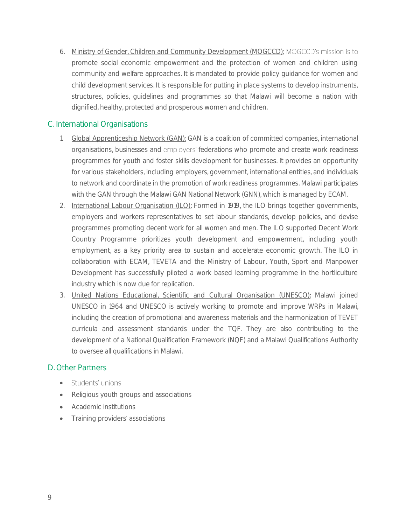6. Ministry of Gender, Children and Community Development (MOGCCD): MOGCCD's mission is to promote social economic empowerment and the protection of women and children using community and welfare approaches. It is mandated to provide policy guidance for women and child development services. It is responsible for putting in place systems to develop instruments, structures, policies, guidelines and programmes so that Malawi will become a nation with dignified, healthy, protected and prosperous women and children.

# C. International Organisations

- 1. Global Apprenticeship Network (GAN): GAN is a coalition of committed companies, international organisations, businesses and employers' federations who promote and create work readiness programmes for youth and foster skills development for businesses. It provides an opportunity for various stakeholders, including employers, government, international entities, and individuals to network and coordinate in the promotion of work readiness programmes. Malawi participates with the GAN through the Malawi GAN National Network (GNN), which is managed by ECAM.
- 2. International Labour Organisation (ILO): Formed in 1919, the ILO brings together governments, employers and workers representatives to set labour standards, develop policies, and devise programmes promoting decent work for all women and men. The ILO supported Decent Work Country Programme prioritizes youth development and empowerment, including youth employment, as a key priority area to sustain and accelerate economic growth. The ILO in collaboration with ECAM, TEVETA and the Ministry of Labour, Youth, Sport and Manpower Development has successfully piloted a work based learning programme in the hortliculture industry which is now due for replication.
- 3. United Nations Educational, Scientific and Cultural Organisation (UNESCO): Malawi joined UNESCO in 1964 and UNESCO is actively working to promote and improve WRPs in Malawi, including the creation of promotional and awareness materials and the harmonization of TEVET curricula and assessment standards under the TQF. They are also contributing to the development of a National Qualification Framework (NQF) and a Malawi Qualifications Authority to oversee all qualifications in Malawi.

### D. Other Partners

- Students' unions
- Religious youth groups and associations
- Academic institutions
- Training providers' associations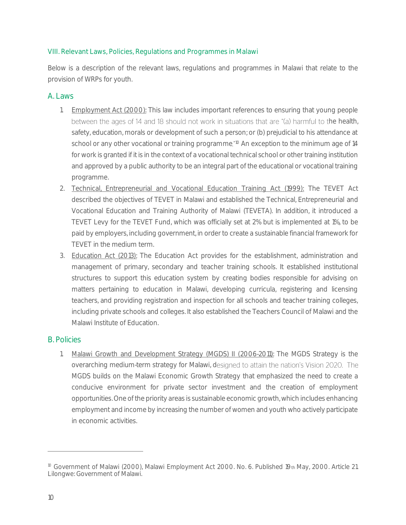#### <span id="page-13-0"></span>VIII. Relevant Laws, Policies, Regulations and Programmes in Malawi

Below is a description of the relevant laws, regulations and programmes in Malawi that relate to the provision of WRPs for youth.

#### A. Laws

- 1. Employment Act (2000): This law includes important references to ensuring that young people between the ages of 14 and 18 should not work in situations that are "(a) harmful to the health, safety, education, morals or development of such a person; or (b) prejudicial to his attendance at school or any other vocational or training programme."<sup>10</sup> An exception to the minimum age of 14 for work is granted if it is in the context of a vocational technical school or other training institution and approved by a public authority to be an integral part of the educational or vocational training programme.
- 2. Technical, Entrepreneurial and Vocational Education Training Act (1999): The TEVET Act described the objectives of TEVET in Malawi and established the Technical, Entrepreneurial and Vocational Education and Training Authority of Malawi (TEVETA). In addition, it introduced a TEVET Levy for the TEVET Fund, which was officially set at 2% but is implemented at 1%, to be paid by employers, including government, in order to create a sustainable financial framework for TEVET in the medium term.
- 3. Education Act (2013): The Education Act provides for the establishment, administration and management of primary, secondary and teacher training schools. It established institutional structures to support this education system by creating bodies responsible for advising on matters pertaining to education in Malawi, developing curricula, registering and licensing teachers, and providing registration and inspection for all schools and teacher training colleges, including private schools and colleges. It also established the Teachers Council of Malawi and the Malawi Institute of Education.

#### B. Policies

1. Malawi Growth and Development Strategy (MGDS) II (2006-2011): The MGDS Strategy is the overarching medium-term strategy for Malawi, designed to attain the nation's Vision 2020. The MGDS builds on the Malawi Economic Growth Strategy that emphasized the need to create a conducive environment for private sector investment and the creation of employment opportunities. One of the priority areas is sustainable economic growth, which includes enhancing employment and income by increasing the number of women and youth who actively participate in economic activities.

<sup>&</sup>lt;sup>10</sup> Government of Malawi (2000), Malawi Employment Act 2000. No. 6. Published 19th May, 2000. Article 21. Lilongwe: Government of Malawi.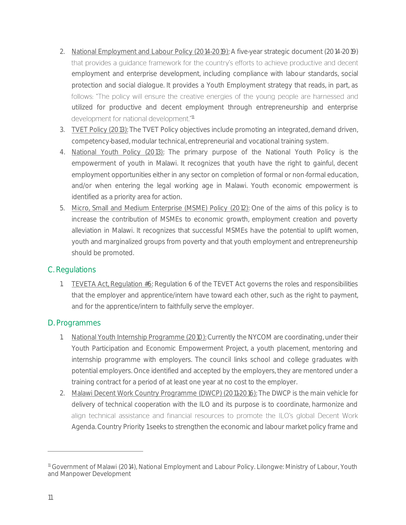- 2. National Employment and Labour Policy (2014-2019): A five-year strategic document (2014-2019) that provides a quidance framework for the country's efforts to achieve productive and decent employment and enterprise development, including compliance with labour standards, social protection and social dialogue. It provides a Youth Employment strategy that reads, in part, as follows: "The policy will ensure the creative energies of the young people are harnessed and utilized for productive and decent employment through entrepreneurship and enterprise development for national development."<sup>11</sup>
- 3. TVET Policy (2013): The TVET Policy objectives include promoting an integrated, demand driven, competency-based, modular technical, entrepreneurial and vocational training system.
- 4. National Youth Policy (2013): The primary purpose of the National Youth Policy is the empowerment of youth in Malawi. It recognizes that youth have the right to gainful, decent employment opportunities either in any sector on completion of formal or non-formal education, and/or when entering the legal working age in Malawi. Youth economic empowerment is identified as a priority area for action.
- 5. Micro, Small and Medium Enterprise (MSME) Policy (2012): One of the aims of this policy is to increase the contribution of MSMEs to economic growth, employment creation and poverty alleviation in Malawi. It recognizes that successful MSMEs have the potential to uplift women, youth and marginalized groups from poverty and that youth employment and entrepreneurship should be promoted.

### C. Regulations

1. TEVETA Act, Regulation #6: Regulation 6 of the TEVET Act governs the roles and responsibilities that the employer and apprentice/intern have toward each other, such as the right to payment, and for the apprentice/intern to faithfully serve the employer.

### D. Programmes

- 1. National Youth Internship Programme (2010): Currently the NYCOM are coordinating, under their Youth Participation and Economic Empowerment Project, a youth placement, mentoring and internship programme with employers. The council links school and college graduates with potential employers. Once identified and accepted by the employers, they are mentored under a training contract for a period of at least one year at no cost to the employer.
- 2. Malawi Decent Work Country Programme (DWCP) (2011-2016): The DWCP is the main vehicle for delivery of technical cooperation with the ILO and its purpose is to coordinate, harmonize and align technical assistance and financial resources to promote the ILO's global Decent Work Agenda. Country Priority 1 seeks to strengthen the economic and labour market policy frame and

<sup>&</sup>lt;sup>11</sup> Government of Malawi (2014), National Employment and Labour Policy. Lilongwe: Ministry of Labour, Youth and Manpower Development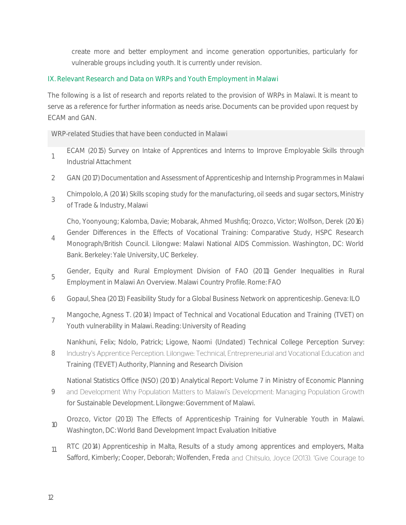create more and better employment and income generation opportunities, particularly for vulnerable groups including youth. It is currently under revision.

#### <span id="page-15-0"></span>IX. Relevant Research and Data on WRPs and Youth Employment in Malawi

The following is a list of research and reports related to the provision of WRPs in Malawi. It is meant to serve as a reference for further information as needs arise. Documents can be provided upon request by ECAM and GAN.

WRP-related Studies that have been conducted in Malawi

- 1 ECAM (2015) Survey on Intake of Apprentices and Interns to Improve Employable Skills through Industrial Attachment
- 2 GAN (2017) Documentation and Assessment of Apprenticeship and Internship Programmes in Malawi
- 3 Chimpololo, A (2014) Skills scoping study for the manufacturing, oil seeds and sugar sectors, Ministry of Trade & Industry, Malawi

Cho, Yoonyoung; Kalomba, Davie; Mobarak, Ahmed Mushfiq; Orozco, Victor; Wolfson, Derek (2016)

- 4 Gender Differences in the Effects of Vocational Training: Comparative Study, HSPC Research Monograph/British Council. Lilongwe: Malawi National AIDS Commission. Washington, DC: World Bank. Berkeley: Yale University, UC Berkeley.
- 5 Gender, Equity and Rural Employment Division of FAO (2011) Gender Inequalities in Rural Employment in Malawi An Overview. Malawi Country Profile. Rome: FAO
- 6 Gopaul, Shea (2013) Feasibility Study for a Global Business Network on apprenticeship. Geneva: ILO
- 7 Mangoche, Agness T. (2014) Impact of Technical and Vocational Education and Training (TVET) on Youth vulnerability in Malawi. Reading: University of Reading

Nankhuni, Felix; Ndolo, Patrick; Ligowe, Naomi (Undated) Technical College Perception Survey:

8 Industry's Apprentice Perception. Lilongwe: Technical, Entrepreneurial and Vocational Education and Training (TEVET) Authority, Planning and Research Division

National Statistics Office (NSO) (2010) Analytical Report: Volume 7 in Ministry of Economic Planning

- 9 and Development Why Population Matters to Malawi's Development: Managing Population Growth for Sustainable Development. Lilongwe: Government of Malawi.
- 10 Orozco, Victor (2013) The Effects of Apprenticeship Training for Vulnerable Youth in Malawi. Washington, DC: World Band Development Impact Evaluation Initiative
- <sub>11</sub> RTC (2014) Apprenticeship in Malta, Results of a study among apprentices and employers, Malta Safford, Kimberly; Cooper, Deborah; Wolfenden, Freda and Chitsulo, Joyce (2013). 'Give Courage to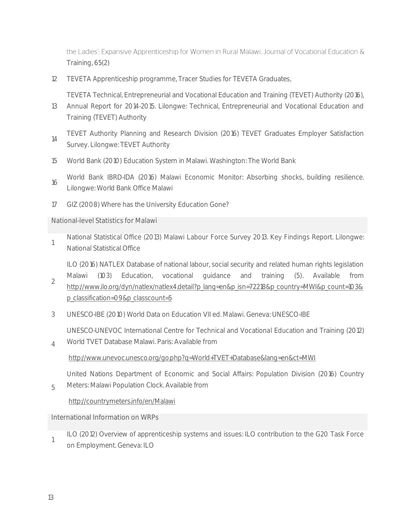the Ladies': Expansive Apprenticeship for Women in Rural Malawi. Journal of Vocational Education & Training, 65(2)

12 TEVETA Apprenticeship programme, Tracer Studies for TEVETA Graduates,

TEVETA Technical, Entrepreneurial and Vocational Education and Training (TEVET) Authority (2016),

- 13 Annual Report for 2014-2015. Lilongwe: Technical, Entrepreneurial and Vocational Education and Training (TEVET) Authority
- 14 TEVET Authority Planning and Research Division (2016) TEVET Graduates Employer Satisfaction Survey. Lilongwe: TEVET Authority
- 15 World Bank (2010) Education System in Malawi. Washington: The World Bank
- 16 World Bank IBRD-IDA (2016) Malawi Economic Monitor: Absorbing shocks, building resilience. Lilongwe: World Bank Office Malawi
- 17 GIZ (2008) Where has the University Education Gone?

National-level Statistics for Malawi

1 National Statistical Office (2013) Malawi Labour Force Survey 2013. Key Findings Report. Lilongwe: National Statistical Office

ILO (2016) NATLEX Database of national labour, social security and related human rights legislation

- 2 Malawi (103) Education, vocational guidance and training (5). Available from [http://www.ilo.org/dyn/natlex/natlex4.detail?p\\_lang=en&p\\_isn=72218&p\\_country=MWI&p\\_count=103&](http://www.ilo.org/dyn/natlex/natlex4.detail?p_lang=en&p_isn=72218&p_country=MWI&p_count=103&p_classification=09&p_classcount=5) [p\\_classification=09&p\\_classcount=5](http://www.ilo.org/dyn/natlex/natlex4.detail?p_lang=en&p_isn=72218&p_country=MWI&p_count=103&p_classification=09&p_classcount=5)
- 3 UNESCO-IBE (2010) World Data on Education VII ed. Malawi. Geneva: UNESCO-IBE

UNESCO-UNEVOC International Centre for Technical and Vocational Education and Training (2012)

4 World TVET Database Malawi. Paris: Available from <http://www.unevoc.unesco.org/go.php?q=World+TVET+Database&lang=en&ct=MWI>

United Nations Department of Economic and Social Affairs: Population Division (2016) Country

5 Meters: Malawi Population Clock. Available from

<http://countrymeters.info/en/Malawi>

International Information on WRPs

1 ILO (2012) Overview of apprenticeship systems and issues: ILO contribution to the G20 Task Force on Employment. Geneva: ILO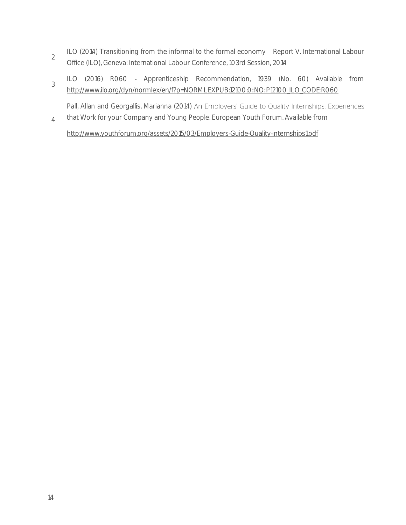- 2 ILO (2014) Transitioning from the informal to the formal economy - Report V. International Labour Office (ILO), Geneva: International Labour Conference, 103rd Session, 2014
- 3 ILO (2016) R060 - Apprenticeship Recommendation, 1939 (No. 60) Available from [http://www.ilo.org/dyn/normlex/en/f?p=NORMLEXPUB:12100:0::NO::P12100\\_ILO\\_CODE:R060](http://www.ilo.org/dyn/normlex/en/f?p=NORMLEXPUB:12100:0::NO::P12100_ILO_CODE:R060)\_

4 Pall, Allan and Georgallis, Marianna (2014) An Employers' Guide to Quality Internships: Experiences that Work for your Company and Young People. European Youth Forum. Available from

<http://www.youthforum.org/assets/2015/03/Employers-Guide-Quality-internships1.pdf>